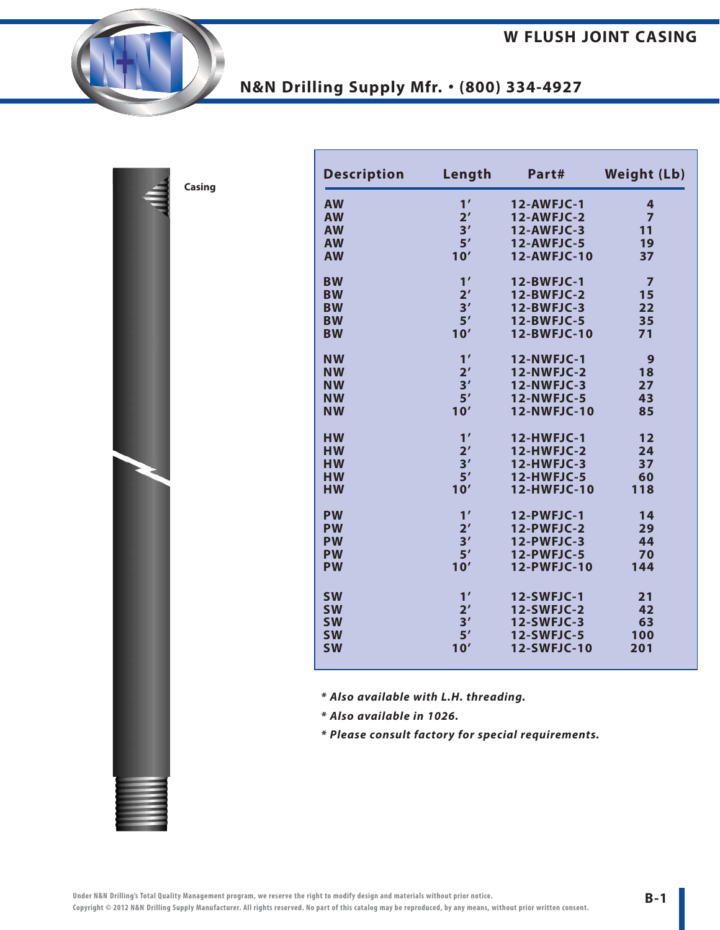| Casing |
|--------|
|        |

| <b>Description</b> | Length         | Part#              | <b>Weight (Lb)</b> |
|--------------------|----------------|--------------------|--------------------|
| <b>AW</b>          | 1'             | <b>12-AWFJC-1</b>  | 4                  |
| <b>AW</b>          | 2 <sup>'</sup> | 12-AWFJC-2         | $\overline{7}$     |
| <b>AW</b>          | 3'             | $12$ -AWFJC-3      | 11                 |
| <b>AW</b>          | 5'             | <b>12-AWFJC-5</b>  | 19                 |
| <b>AW</b>          | 10'            | 12-AWFJC-10        | 37                 |
| <b>BW</b>          | 1'             | <b>12-BWFJC-1</b>  | $\overline{7}$     |
| <b>BW</b>          | 2 <sup>′</sup> | 12-BWFJC-2         | 15                 |
| <b>BW</b>          | 3'             | <b>12-BWFJC-3</b>  | 22                 |
| <b>BW</b>          | 5'             | <b>12-BWFJC-5</b>  | 35                 |
| <b>BW</b>          | 10'            | 12-BWFJC-10        | 71                 |
| <b>NW</b>          | 1'             | <b>12-NWFJC-1</b>  | 9                  |
| <b>NW</b>          | 2 <sup>'</sup> | <b>12-NWFJC-2</b>  | 18                 |
| <b>NW</b>          | 3'             | 12-NWFJC-3         | 27                 |
| <b>NW</b>          | 5'             | <b>12-NWFJC-5</b>  | 43                 |
| <b>NW</b>          | 10'            | <b>12-NWFJC-10</b> | 85                 |
| <b>HW</b>          | 1'             | <b>12-HWFJC-1</b>  | 12                 |
| <b>HW</b>          | 2 <sup>'</sup> | 12-HWFJC-2         | 24                 |
| <b>HW</b>          | 3'             | 12-HWFJC-3         | 37                 |
| <b>HW</b>          | 5'             | <b>12-HWFJC-5</b>  | 60                 |
| <b>HW</b>          | 10'            | 12-HWFJC-10        | 118                |
| <b>PW</b>          | 1'             | <b>12-PWFJC-1</b>  | 14                 |
| <b>PW</b>          | 2 <sup>'</sup> | 12-PWFJC-2         | 29                 |
| <b>PW</b>          | 3'             | 12-PWFJC-3         | 44                 |
| <b>PW</b>          | 5'             | 12-PWFJC-5         | 70                 |
| <b>PW</b>          | 10'            | 12-PWFJC-10        | 144                |
| <b>SW</b>          | 1'             | <b>12-SWFJC-1</b>  | 21                 |
| <b>SW</b>          | 2 <sup>'</sup> | <b>12-SWFJC-2</b>  | 42                 |
| <b>SW</b>          | 3'             | <b>12-SWFJC-3</b>  | 63                 |
| <b>SW</b>          | 5'             | <b>12-SWFJC-5</b>  | 100                |
| <b>SW</b>          | 10'            | 12-SWFJC-10        | 201                |
|                    |                |                    |                    |

*\* Also available with L.H. threading.*

*\* Also available in 1026.*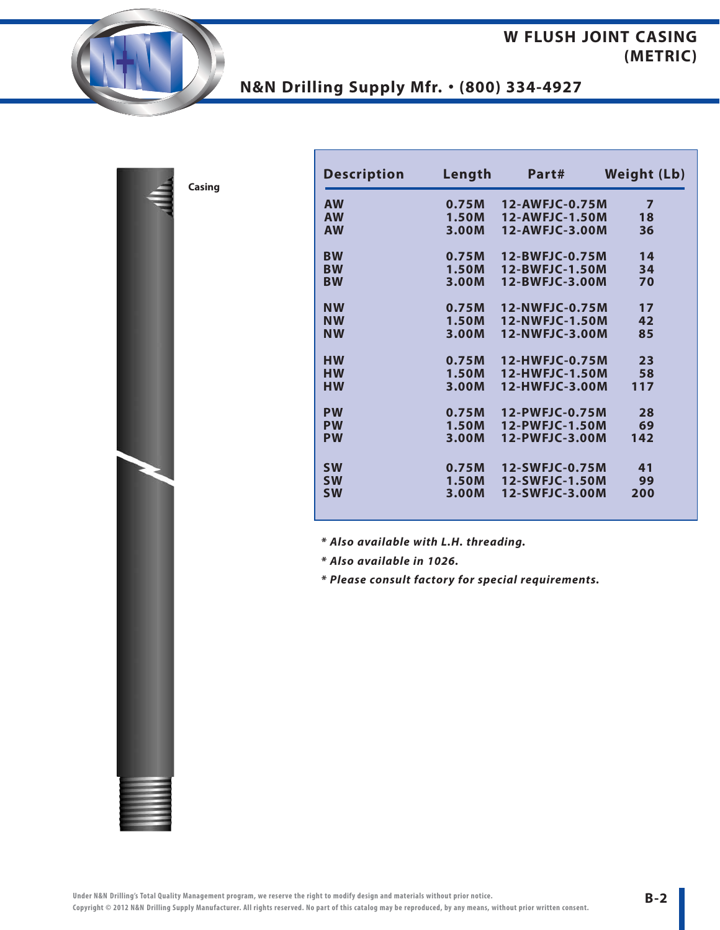### **W FLUSH JOINT CASING (METRIC)**

# **N&N Drilling Supply Mfr.** • **(800) 334-4927**

**Casing**

| <b>Description</b> | Length | Part#          | <b>Weight (Lb)</b> |  |
|--------------------|--------|----------------|--------------------|--|
| <b>AW</b>          | 0.75M  | 12-AWFJC-0.75M | 7                  |  |
| <b>AW</b>          | 1.50M  | 12-AWFJC-1.50M | 18                 |  |
| <b>AW</b>          | 3.00M  | 12-AWFJC-3.00M | 36                 |  |
| <b>BW</b>          | 0.75M  | 12-BWFJC-0.75M | 14                 |  |
| <b>BW</b>          | 1.50M  | 12-BWFJC-1.50M | 34                 |  |
| <b>BW</b>          | 3.00M  | 12-BWFJC-3.00M | 70                 |  |
| <b>NW</b>          | 0.75M  | 12-NWFJC-0.75M | 17                 |  |
| <b>NW</b>          | 1.50M  | 12-NWFJC-1.50M | 42                 |  |
| <b>NW</b>          | 3.00M  | 12-NWFJC-3.00M | 85                 |  |
| <b>HW</b>          | 0.75M  | 12-HWFJC-0.75M | 23                 |  |
| <b>HW</b>          | 1.50M  | 12-HWFJC-1.50M | 58                 |  |
| <b>HW</b>          | 3.00M  | 12-HWFJC-3.00M | 117                |  |
| <b>PW</b>          | 0.75M  | 12-PWFJC-0.75M | 28                 |  |
| <b>PW</b>          | 1.50M  | 12-PWFJC-1.50M | 69                 |  |
| <b>PW</b>          | 3.00M  | 12-PWFJC-3.00M | 142                |  |
| <b>SW</b>          | 0.75M  | 12-SWFJC-0.75M | 41                 |  |
| <b>SW</b>          | 1.50M  | 12-SWFJC-1.50M | 99                 |  |
| <b>SW</b>          | 3.00M  | 12-SWFJC-3.00M | 200                |  |

*\* Also available with L.H. threading.*

*\* Also available in 1026.*

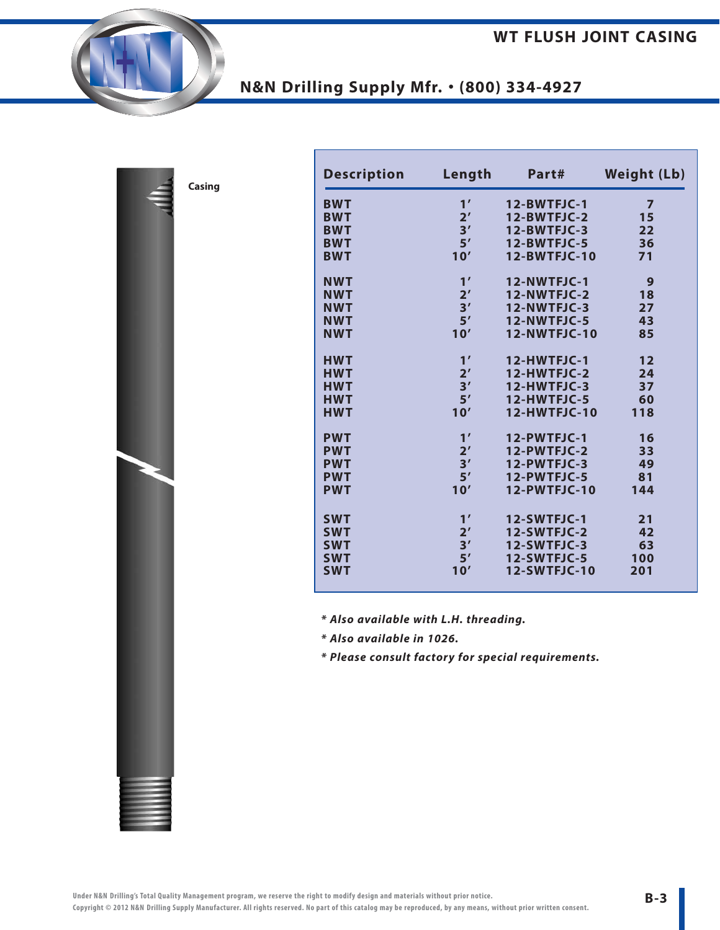| ₫ | Casing |
|---|--------|
|   |        |
|   |        |
|   |        |
|   |        |
|   |        |
|   |        |
|   |        |
|   |        |
|   |        |
|   |        |
|   |        |
|   |        |
|   |        |
|   |        |
|   |        |
|   |        |
|   |        |

| <b>Description</b> | Length         | Part#               | <b>Weight (Lb)</b> |
|--------------------|----------------|---------------------|--------------------|
| <b>BWT</b>         | 1'             | 12-BWTFJC-1         | 7                  |
| <b>BWT</b>         | 2 <sup>'</sup> | 12-BWTFJC-2         | 15                 |
| <b>BWT</b>         | 3'             | 12-BWTFJC-3         | 22                 |
| <b>BWT</b>         | 5'             | 12-BWTFJC-5         | 36                 |
| <b>BWT</b>         | 10'            | <b>12-BWTFJC-10</b> | 71                 |
| <b>NWT</b>         | 1'             | 12-NWTFJC-1         | 9                  |
| <b>NWT</b>         | 2 <sup>'</sup> | 12-NWTFJC-2         | 18                 |
| <b>NWT</b>         | 3'             | 12-NWTFJC-3         | 27                 |
| <b>NWT</b>         | 5'             | 12-NWTFJC-5         | 43                 |
| <b>NWT</b>         | 10'            | <b>12-NWTFJC-10</b> | 85                 |
| <b>HWT</b>         | 1'             | 12-HWTFJC-1         | 12                 |
| <b>HWT</b>         | 2 <sup>'</sup> | 12-HWTFJC-2         | 24                 |
| <b>HWT</b>         | 3'             | 12-HWTFJC-3         | 37                 |
| <b>HWT</b>         | 5'             | 12-HWTFJC-5         | 60                 |
| <b>HWT</b>         | 10'            | <b>12-HWTFJC-10</b> | 118                |
| <b>PWT</b>         | 1'             | 12-PWTFJC-1         | 16                 |
| <b>PWT</b>         | 2 <sup>′</sup> | 12-PWTFJC-2         | 33                 |
| <b>PWT</b>         | 3'             | 12-PWTFJC-3         | 49                 |
| <b>PWT</b>         | 5'             | 12-PWTFJC-5         | 81                 |
| <b>PWT</b>         | 10'            | 12-PWTFJC-10        | 144                |
| <b>SWT</b>         | 1'             | 12-SWTFJC-1         | 21                 |
| <b>SWT</b>         | 2 <sup>'</sup> | 12-SWTFJC-2         | 42                 |
| <b>SWT</b>         | 3'             | 12-SWTFJC-3         | 63                 |
| <b>SWT</b>         | 5'             | 12-SWTFJC-5         | 100                |
| <b>SWT</b>         | 10'            | <b>12-SWTFJC-10</b> | 201                |

*\* Also available with L.H. threading.*

*\* Also available in 1026.*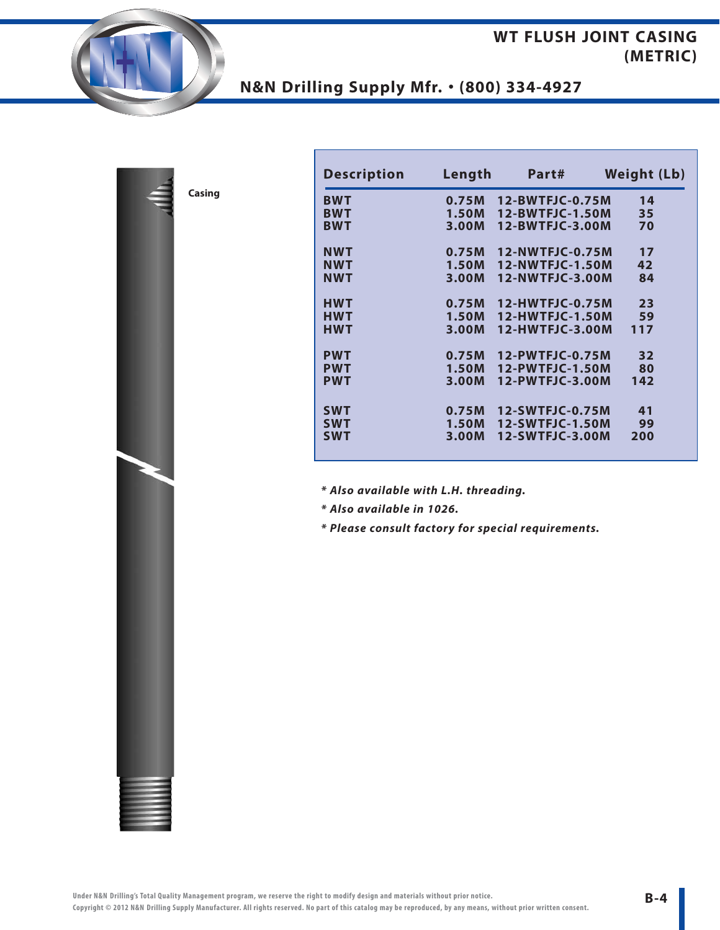## **WT FLUSH JOINT CASING (METRIC)**

# **N&N Drilling Supply Mfr.** • **(800) 334-4927**

| <b>Description</b> | Length | Part#           | <b>Weight (Lb)</b> |
|--------------------|--------|-----------------|--------------------|
| <b>BWT</b>         | 0.75M  | 12-BWTFJC-0.75M | 14                 |
| <b>BWT</b>         | 1.50M  | 12-BWTFJC-1.50M | 35                 |
| <b>BWT</b>         | 3.00M  | 12-BWTFJC-3.00M | 70                 |
| <b>NWT</b>         | 0.75M  | 12-NWTFJC-0.75M | 17                 |
| <b>NWT</b>         | 1.50M  | 12-NWTFJC-1.50M | 42                 |
| NWT                | 3.00M  | 12-NWTFJC-3.00M | 84                 |
| <b>HWT</b>         | 0.75M  | 12-HWTFJC-0.75M | 23                 |
| <b>HWT</b>         | 1.50M  | 12-HWTFJC-1.50M | 59                 |
| <b>HWT</b>         | 3.00M  | 12-HWTFJC-3.00M | 117                |
| <b>PWT</b>         | 0.75M  | 12-PWTFJC-0.75M | 32                 |
| <b>PWT</b>         | 1.50M  | 12-PWTFJC-1.50M | 80                 |
| <b>PWT</b>         | 3.00M  | 12-PWTFJC-3.00M | 142                |
| <b>SWT</b>         | 0.75M  | 12-SWTFJC-0.75M | 41                 |
| <b>SWT</b>         | 1.50M  | 12-SWTFJC-1.50M | 99                 |
| <b>SWT</b>         | 3.00M  | 12-SWTFJC-3.00M | 200                |

*\* Also available with L.H. threading.*

*\* Also available in 1026.*

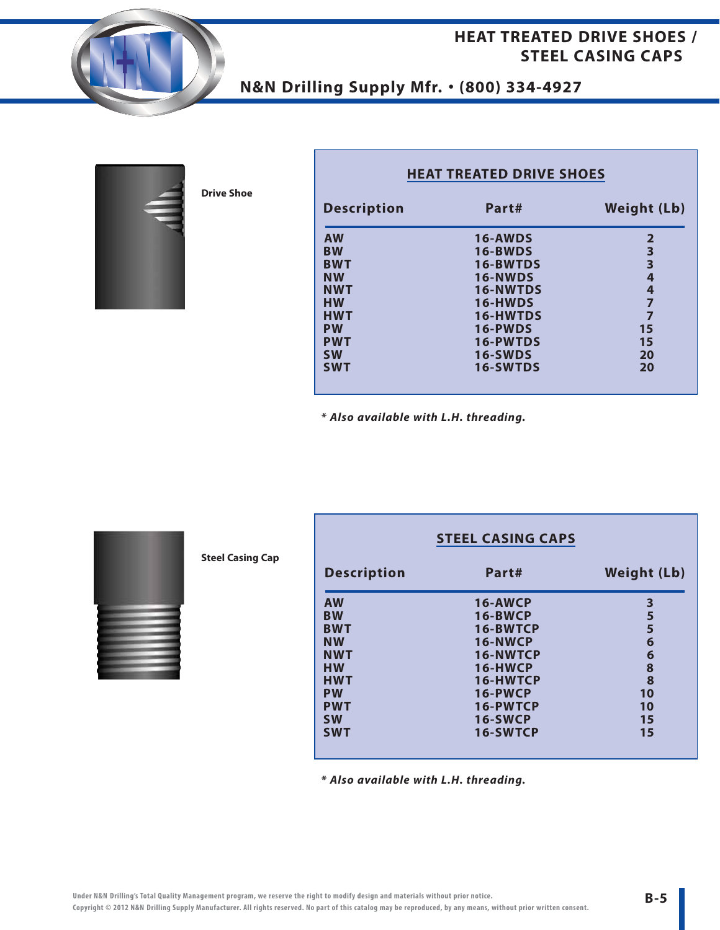### **HEAT TREATED DRIVE SHOES / STEEL CASING CAPS**





**Drive Shoe**

| <b>Description</b> | Part#           | <b>Weight (Lb)</b>      |
|--------------------|-----------------|-------------------------|
| <b>AW</b>          | 16-AWDS         | 2                       |
| <b>BW</b>          | 16-BWDS         | 3                       |
| <b>BWT</b>         | 16-BWTDS        | $\overline{\mathbf{3}}$ |
| <b>NW</b>          | 16-NWDS         | 4                       |
| <b>NWT</b>         | <b>16-NWTDS</b> | 4                       |
| <b>HW</b>          | 16-HWDS         |                         |
| <b>HWT</b>         | 16-HWTDS        | 7                       |
| <b>PW</b>          | 16-PWDS         | 15                      |
| <b>PWT</b>         | 16-PWTDS        | 15                      |
| <b>SW</b>          | <b>16-SWDS</b>  | 20                      |
| <b>SWT</b>         | <b>16-SWTDS</b> | 20                      |

**HEAT TREATED DRIVE SHOES**

*\* Also available with L.H. threading.*



**Steel Casing Cap**

|                    | <b>STEEL CASING CAPS</b> |                    |
|--------------------|--------------------------|--------------------|
| <b>Description</b> | Part#                    | <b>Weight (Lb)</b> |
| <b>AW</b>          | 16-AWCP                  | 3                  |
| <b>BW</b>          | <b>16-BWCP</b>           | 5                  |
| <b>BWT</b>         | 16-BWTCP                 | 5                  |
| <b>NW</b>          | 16-NWCP                  | 6                  |
| <b>NWT</b>         | 16-NWTCP                 | 6                  |
| <b>HW</b>          | 16-HWCP                  | 8                  |
| <b>HWT</b>         | 16-HWTCP                 | 8                  |
| <b>PW</b>          | 16-PWCP                  | 10                 |
| <b>PWT</b>         | 16-PWTCP                 | 10                 |
| <b>SW</b>          | 16-SWCP                  | 15                 |
| <b>SWT</b>         | 16-SWTCP                 | 15                 |
|                    |                          |                    |

**B-5**

*\* Also available with L.H. threading.*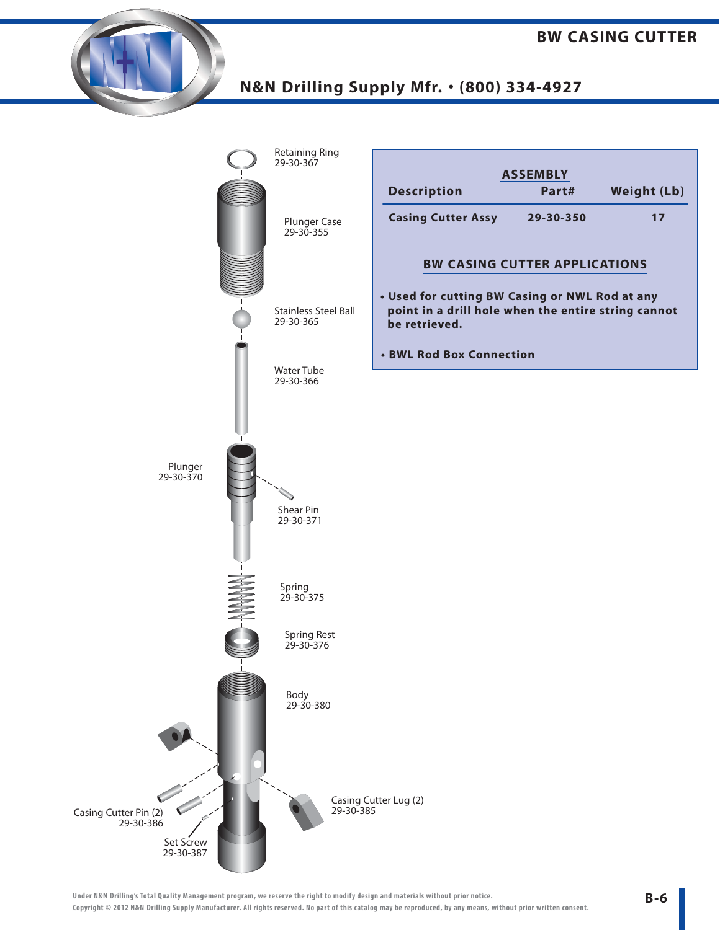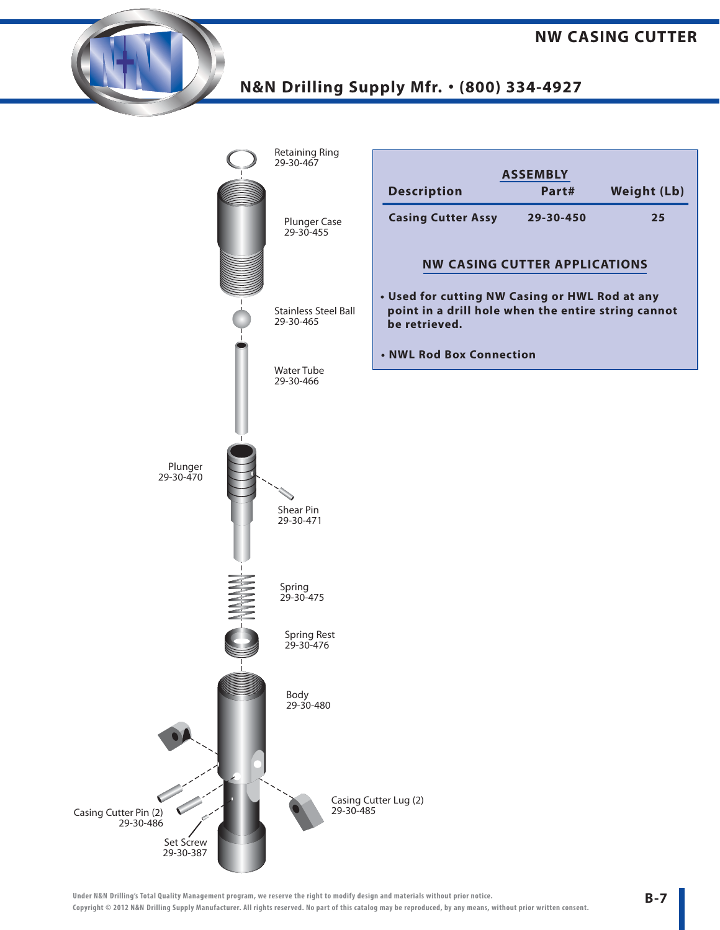

**Under N&N Drilling's Total Quality Management program, we reserve the right to modify design and materials without prior notice. Copyright © 2012 N&N Drilling Supply Manufacturer. All rights reserved. No part of this catalog may be reproduced, by any means, without prior written consent.**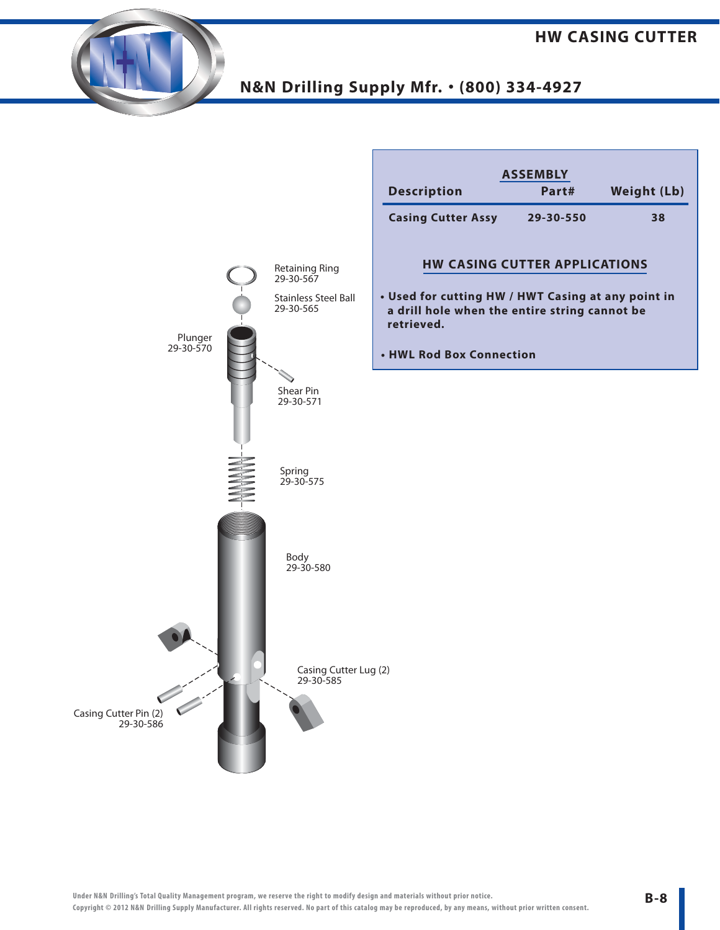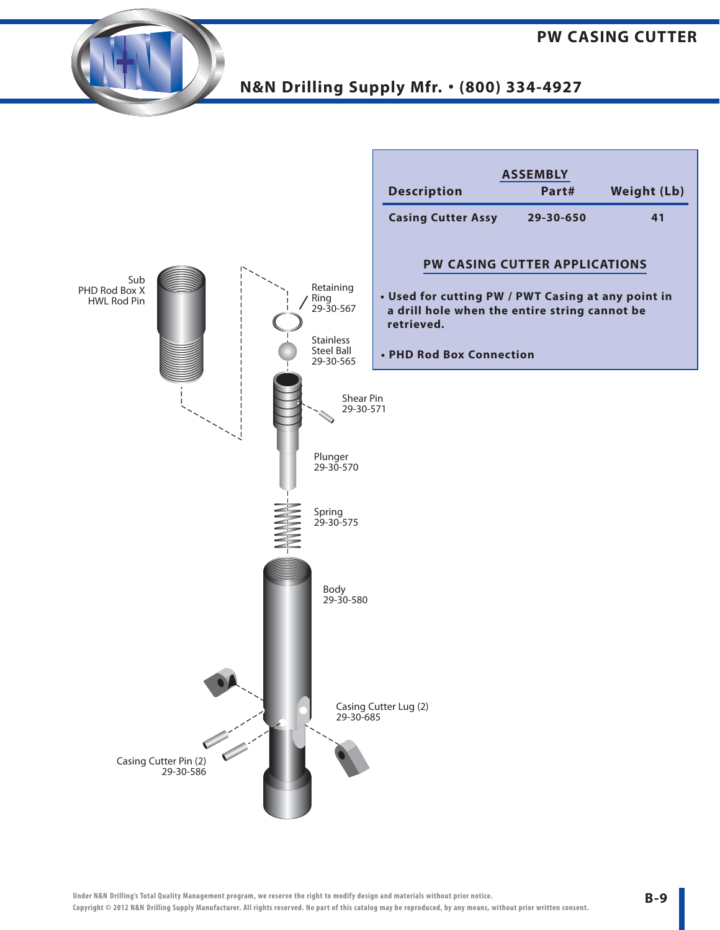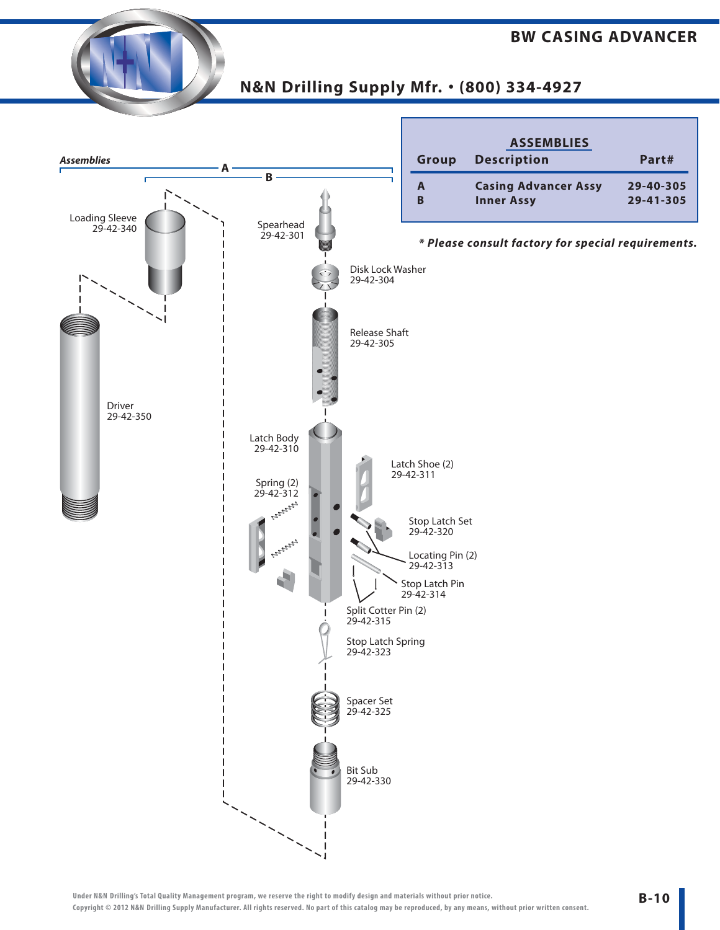#### **BW CASING ADVANCER**



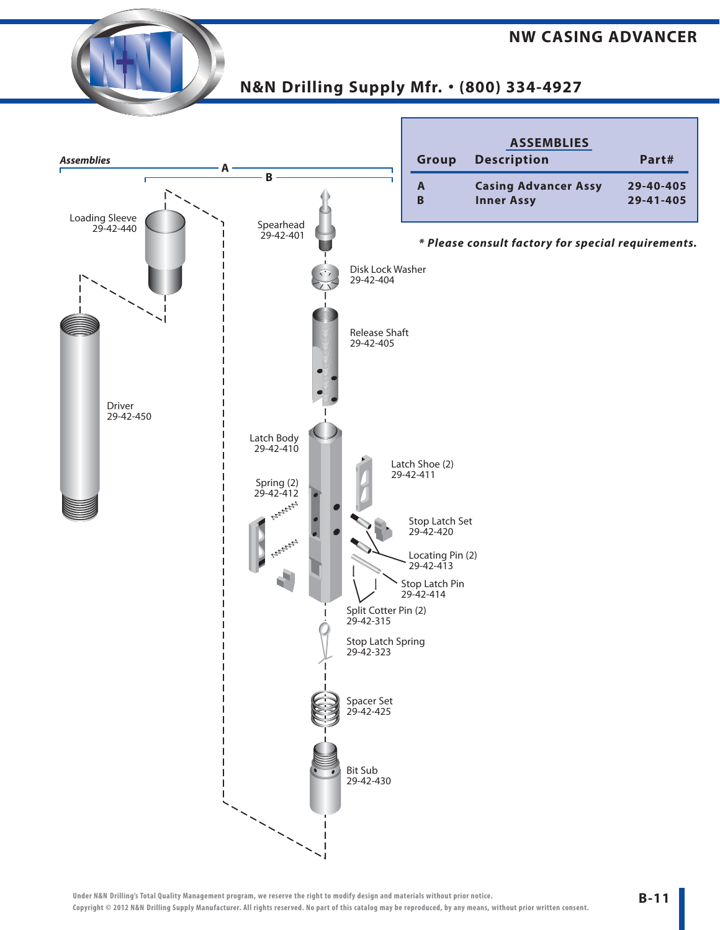#### **NW CASING ADVANCER**

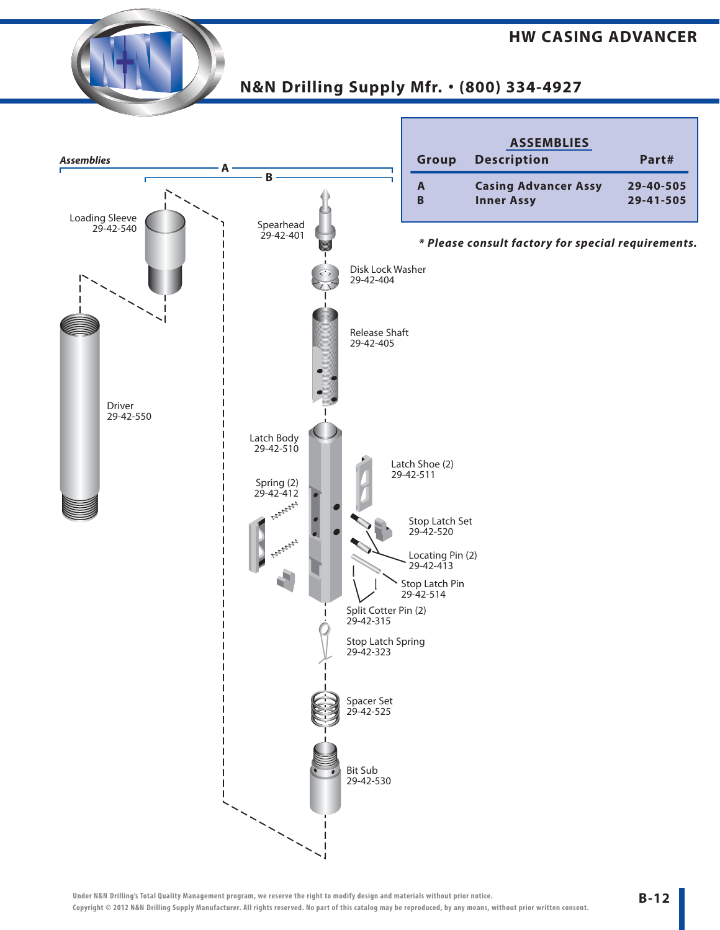#### **HW CASING ADVANCER**

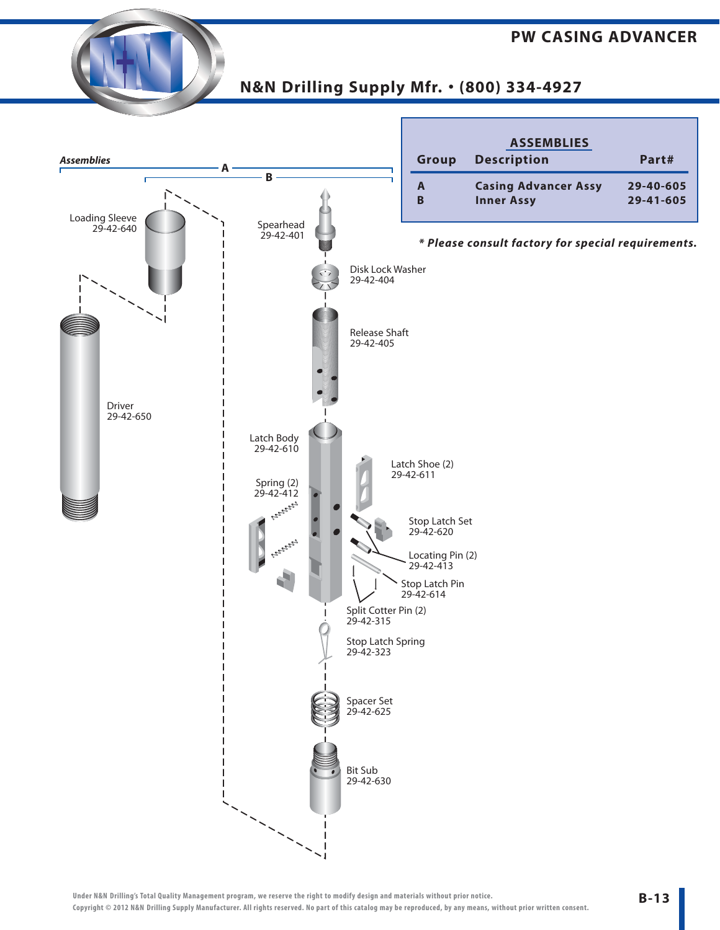#### **PW CASING ADVANCER**



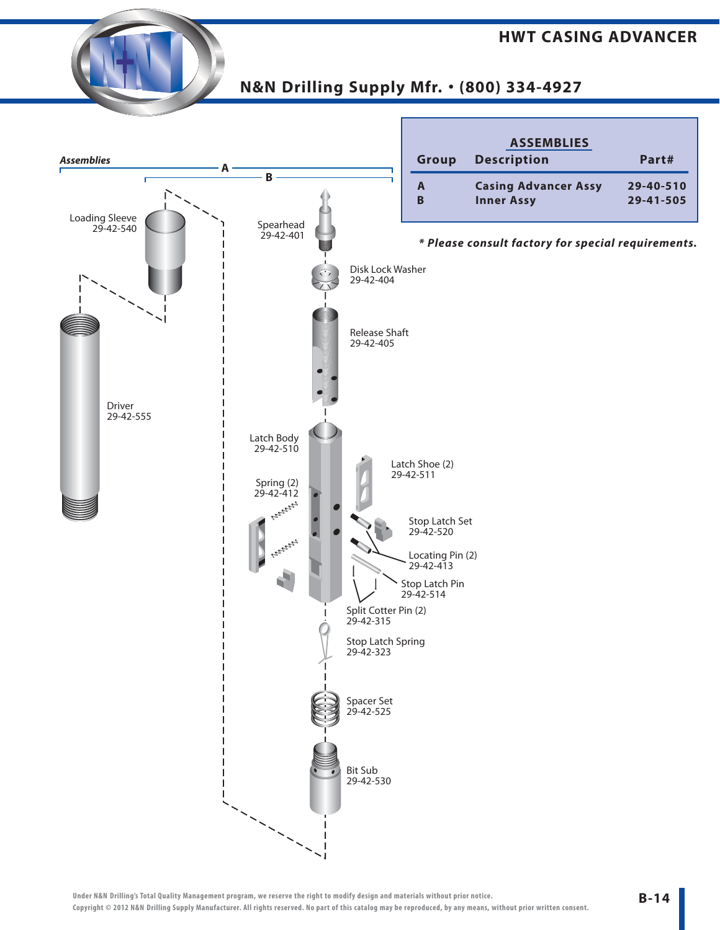#### **HWT CASING ADVANCER**

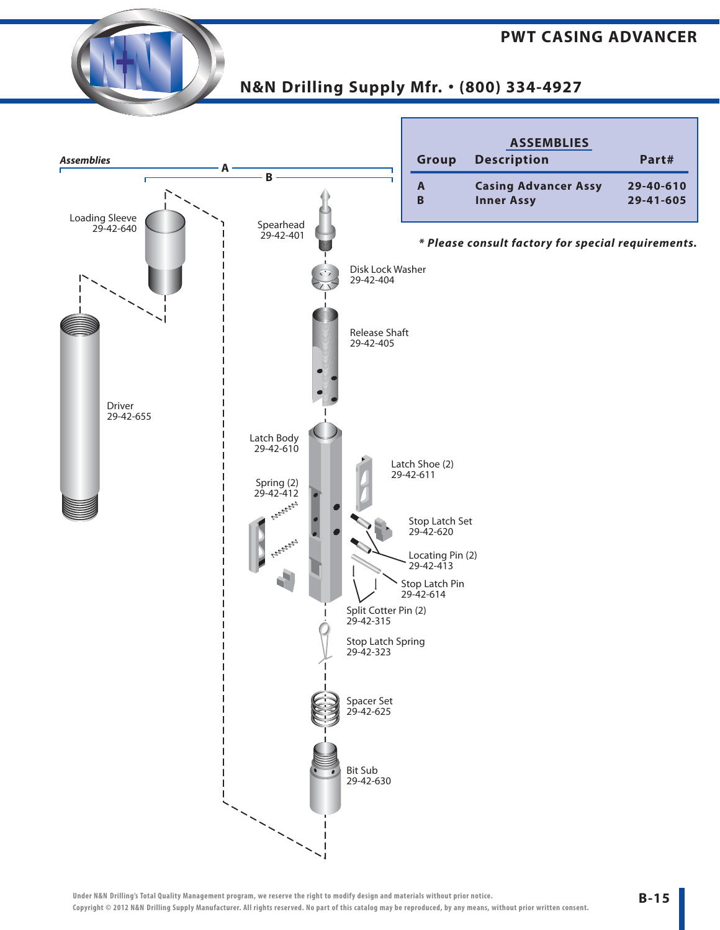#### **PWT CASING ADVANCER**

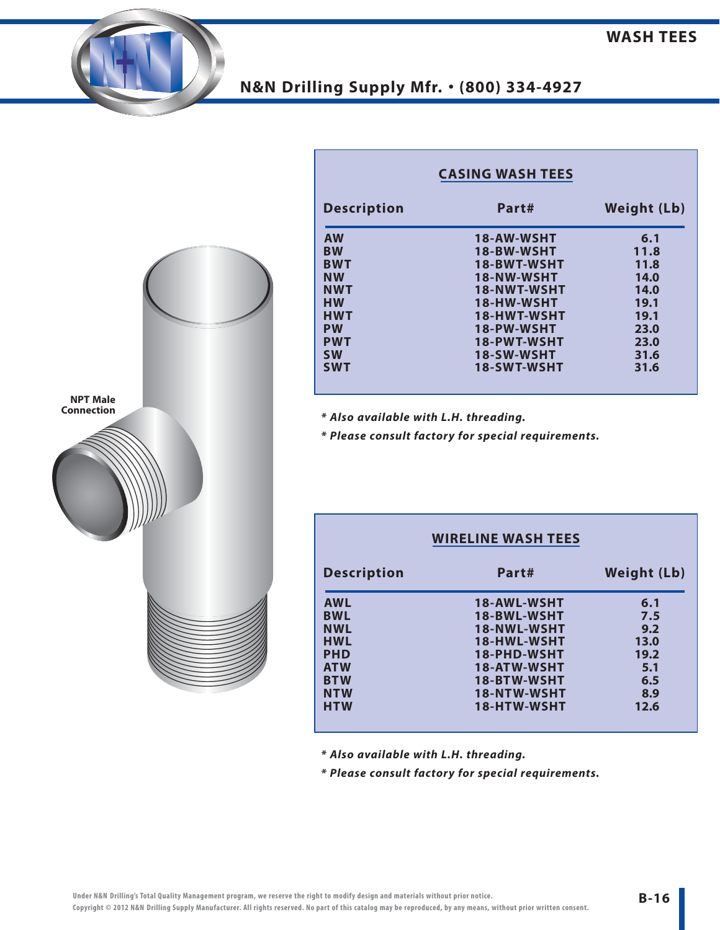

| <b>Description</b> | Part#              | <b>Weight (Lb)</b> |  |  |
|--------------------|--------------------|--------------------|--|--|
| <b>AW</b>          | 18-AW-WSHT         | 6.1                |  |  |
| <b>BW</b>          | 18-BW-WSHT         | 11.8               |  |  |
| <b>BWT</b>         | 18-BWT-WSHT        | 11.8               |  |  |
| <b>NW</b>          | 18-NW-WSHT         | 14.0               |  |  |
| <b>NWT</b>         | 18-NWT-WSHT        | 14.0               |  |  |
| <b>HW</b>          | 18-HW-WSHT         | 19.1               |  |  |
| <b>HWT</b>         | 18-HWT-WSHT        | 19.1               |  |  |
| <b>PW</b>          | 18-PW-WSHT         | 23.0               |  |  |
| <b>PWT</b>         | <b>18-PWT-WSHT</b> | 23.0               |  |  |
| <b>SW</b>          | 18-SW-WSHT         | 31.6               |  |  |
| <b>SWT</b>         | <b>18-SWT-WSHT</b> | 31.6               |  |  |

**CASING WASH TEES**

*\* Also available with L.H. threading.*

*\* Please consult factory for special requirements.*

|                    | <b>WIRELINE WASH TEES</b> |                    |  |  |
|--------------------|---------------------------|--------------------|--|--|
| <b>Description</b> | Part#                     | <b>Weight (Lb)</b> |  |  |
| <b>AWL</b>         | 18-AWL-WSHT               | 6.1                |  |  |
| <b>BWL</b>         | 18-BWL-WSHT               | 7.5                |  |  |
| <b>NWL</b>         | 18-NWL-WSHT               | 9.2                |  |  |
| <b>HWL</b>         | 18-HWL-WSHT               | 13.0               |  |  |
| <b>PHD</b>         | 18-PHD-WSHT               | 19.2               |  |  |
| <b>ATW</b>         | <b>18-ATW-WSHT</b>        | 5.1                |  |  |
| <b>BTW</b>         | 18-BTW-WSHT               | 6.5                |  |  |
| <b>NTW</b>         | 18-NTW-WSHT               | 8.9                |  |  |
| <b>HTW</b>         | 18-HTW-WSHT               | 12.6               |  |  |
|                    |                           |                    |  |  |

*\* Also available with L.H. threading.*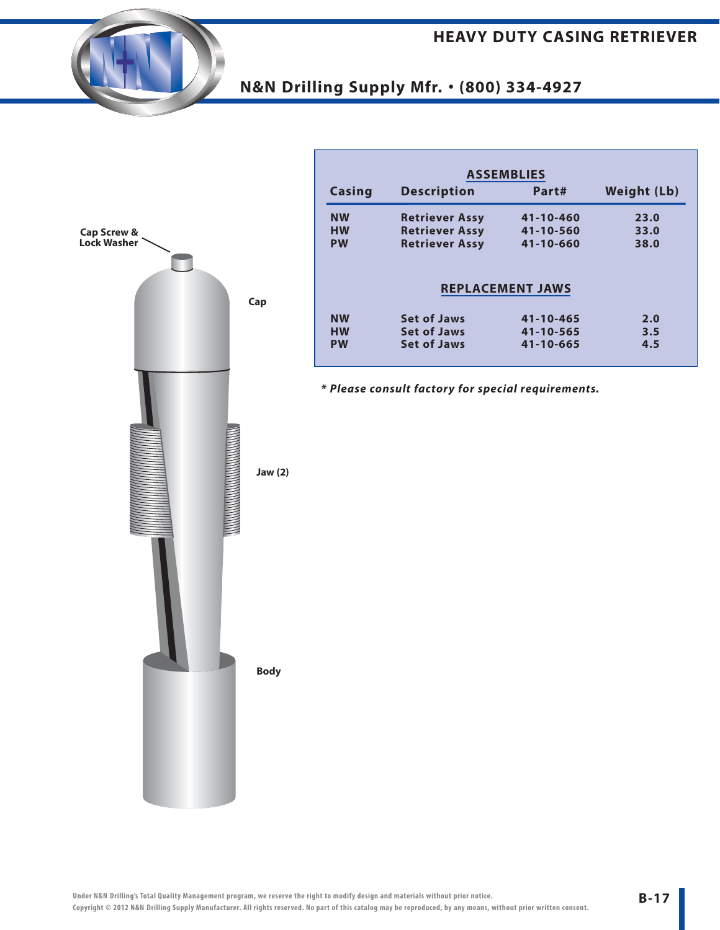

| <b>ASSEMBLIES</b>                               |                       |                         |                    |  |  |  |
|-------------------------------------------------|-----------------------|-------------------------|--------------------|--|--|--|
| <b>Casing</b>                                   | <b>Description</b>    | Part#                   | <b>Weight (Lb)</b> |  |  |  |
| <b>NW</b>                                       | <b>Retriever Assy</b> | 41-10-460               | 23.0               |  |  |  |
| <b>HW</b>                                       | <b>Retriever Assy</b> | 41-10-560               | 33.0               |  |  |  |
| <b>Retriever Assy</b><br>41-10-660<br><b>PW</b> |                       |                         |                    |  |  |  |
|                                                 |                       | <b>REPLACEMENT JAWS</b> |                    |  |  |  |
| <b>NW</b>                                       | <b>Set of Jaws</b>    | 41-10-465               | 2.0                |  |  |  |
| <b>HW</b>                                       | <b>Set of Jaws</b>    | 41-10-565               | 3.5                |  |  |  |
| <b>PW</b>                                       | <b>Set of Jaws</b>    | 41-10-665               | 4.5                |  |  |  |